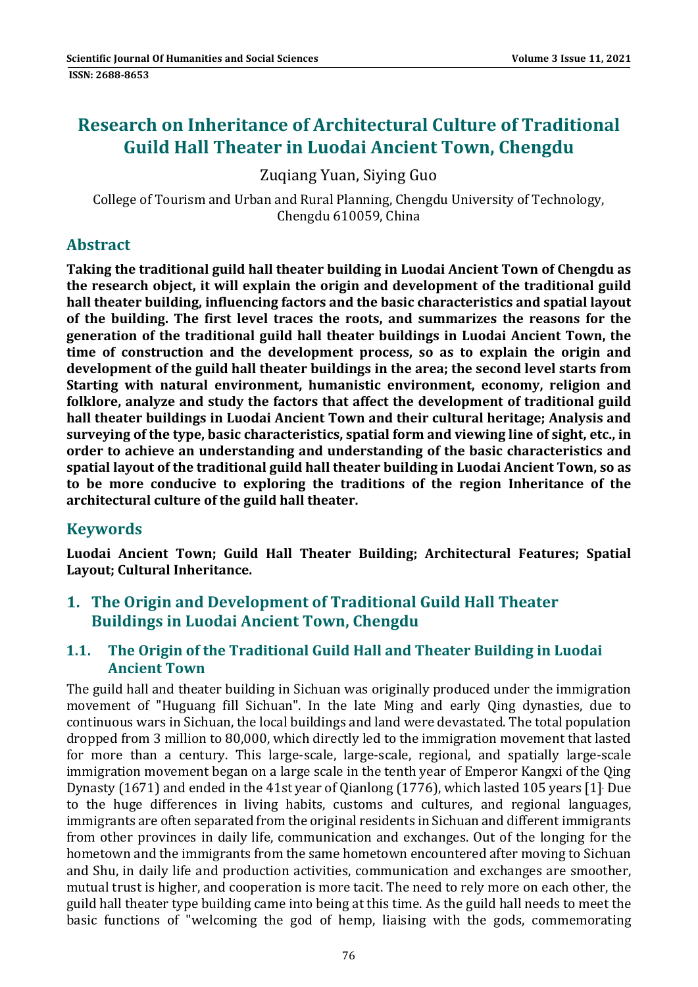# **Research on Inheritance of Architectural Culture of Traditional Guild Hall Theater in Luodai Ancient Town, Chengdu**

Zugiang Yuan, Siying Guo

College of Tourism and Urban and Rural Planning, Chengdu University of Technology, Chengdu 610059, China

# **Abstract**

**Taking the traditional guild hall theater building in Luodai Ancient Town of Chengdu as the research object, it will explain the origin and development of the traditional guild hall theater building, influencing factors and the basic characteristics and spatial layout of the building. The first level traces the roots, and summarizes the reasons for the generation of the traditional guild hall theater buildings in Luodai Ancient Town, the time of construction and the development process, so as to explain the origin and development of the guild hall theater buildings in the area; the second level starts from Starting with natural environment, humanistic environment, economy, religion and folklore, analyze and study the factors that affect the development of traditional guild hall theater buildings in Luodai Ancient Town and their cultural heritage; Analysis and surveying of the type, basic characteristics, spatial form and viewing line of sight, etc., in order to achieve an understanding and understanding of the basic characteristics and spatial layout of the traditional guild hall theater building in Luodai Ancient Town, so as to be more conducive to exploring the traditions of the region Inheritance of the architectural culture of the guild hall theater.**

# **Keywords**

**Luodai Ancient Town; Guild Hall Theater Building; Architectural Features; Spatial Layout; Cultural Inheritance.** 

# **1. The Origin and Development of Traditional Guild Hall Theater Buildings in Luodai Ancient Town, Chengdu**

## **1.1. The Origin of the Traditional Guild Hall and Theater Building in Luodai Ancient Town**

The guild hall and theater building in Sichuan was originally produced under the immigration movement of "Huguang fill Sichuan". In the late Ming and early Qing dynasties, due to continuous wars in Sichuan, the local buildings and land were devastated. The total population dropped from 3 million to 80,000, which directly led to the immigration movement that lasted for more than a century. This large-scale, large-scale, regional, and spatially large-scale immigration movement began on a large scale in the tenth year of Emperor Kangxi of the Qing Dynasty (1671) and ended in the 41st year of Qianlong (1776), which lasted 105 years [1] Due to the huge differences in living habits, customs and cultures, and regional languages, immigrants are often separated from the original residents in Sichuan and different immigrants from other provinces in daily life, communication and exchanges. Out of the longing for the hometown and the immigrants from the same hometown encountered after moving to Sichuan and Shu, in daily life and production activities, communication and exchanges are smoother, mutual trust is higher, and cooperation is more tacit. The need to rely more on each other, the guild hall theater type building came into being at this time. As the guild hall needs to meet the basic functions of "welcoming the god of hemp, liaising with the gods, commemorating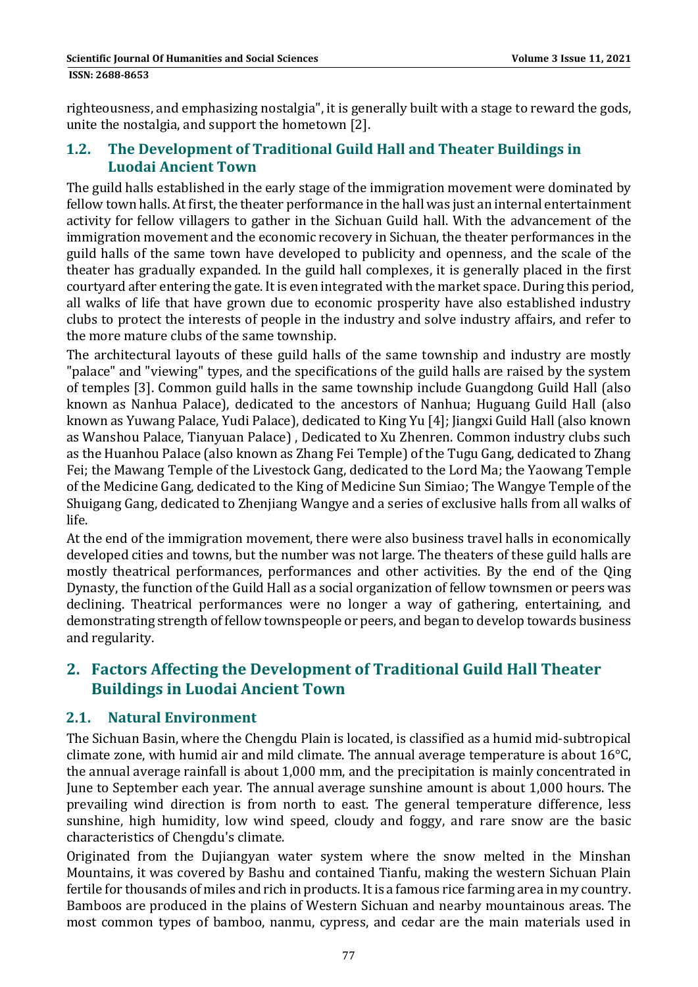righteousness, and emphasizing nostalgia", it is generally built with a stage to reward the gods, unite the nostalgia, and support the hometown  $[2]$ .

## **1.2. The Development of Traditional Guild Hall and Theater Buildings in Luodai Ancient Town**

The guild halls established in the early stage of the immigration movement were dominated by fellow town halls. At first, the theater performance in the hall was just an internal entertainment activity for fellow villagers to gather in the Sichuan Guild hall. With the advancement of the immigration movement and the economic recovery in Sichuan, the theater performances in the guild halls of the same town have developed to publicity and openness, and the scale of the theater has gradually expanded. In the guild hall complexes, it is generally placed in the first courtyard after entering the gate. It is even integrated with the market space. During this period, all walks of life that have grown due to economic prosperity have also established industry clubs to protect the interests of people in the industry and solve industry affairs, and refer to the more mature clubs of the same township.

The architectural layouts of these guild halls of the same township and industry are mostly "palace" and "viewing" types, and the specifications of the guild halls are raised by the system of temples [3]. Common guild halls in the same township include Guangdong Guild Hall (also known as Nanhua Palace), dedicated to the ancestors of Nanhua; Huguang Guild Hall (also known as Yuwang Palace, Yudi Palace), dedicated to King Yu [4]; Jiangxi Guild Hall (also known as Wanshou Palace, Tianyuan Palace), Dedicated to Xu Zhenren. Common industry clubs such as the Huanhou Palace (also known as Zhang Fei Temple) of the Tugu Gang, dedicated to Zhang Fei; the Mawang Temple of the Livestock Gang, dedicated to the Lord Ma; the Yaowang Temple of the Medicine Gang, dedicated to the King of Medicine Sun Simiao; The Wangye Temple of the Shuigang Gang, dedicated to Zhenjiang Wangye and a series of exclusive halls from all walks of life. 

At the end of the immigration movement, there were also business travel halls in economically developed cities and towns, but the number was not large. The theaters of these guild halls are mostly theatrical performances, performances and other activities. By the end of the Qing Dynasty, the function of the Guild Hall as a social organization of fellow townsmen or peers was declining. Theatrical performances were no longer a way of gathering, entertaining, and demonstrating strength of fellow townspeople or peers, and began to develop towards business and regularity.

# **2. Factors Affecting the Development of Traditional Guild Hall Theater Buildings in Luodai Ancient Town**

# **2.1. Natural Environment**

The Sichuan Basin, where the Chengdu Plain is located, is classified as a humid mid-subtropical climate zone, with humid air and mild climate. The annual average temperature is about  $16^{\circ}$ C, the annual average rainfall is about 1,000 mm, and the precipitation is mainly concentrated in June to September each year. The annual average sunshine amount is about 1,000 hours. The prevailing wind direction is from north to east. The general temperature difference, less sunshine, high humidity, low wind speed, cloudy and foggy, and rare snow are the basic characteristics of Chengdu's climate.

Originated from the Dujiangyan water system where the snow melted in the Minshan Mountains, it was covered by Bashu and contained Tianfu, making the western Sichuan Plain fertile for thousands of miles and rich in products. It is a famous rice farming area in my country. Bamboos are produced in the plains of Western Sichuan and nearby mountainous areas. The most common types of bamboo, nanmu, cypress, and cedar are the main materials used in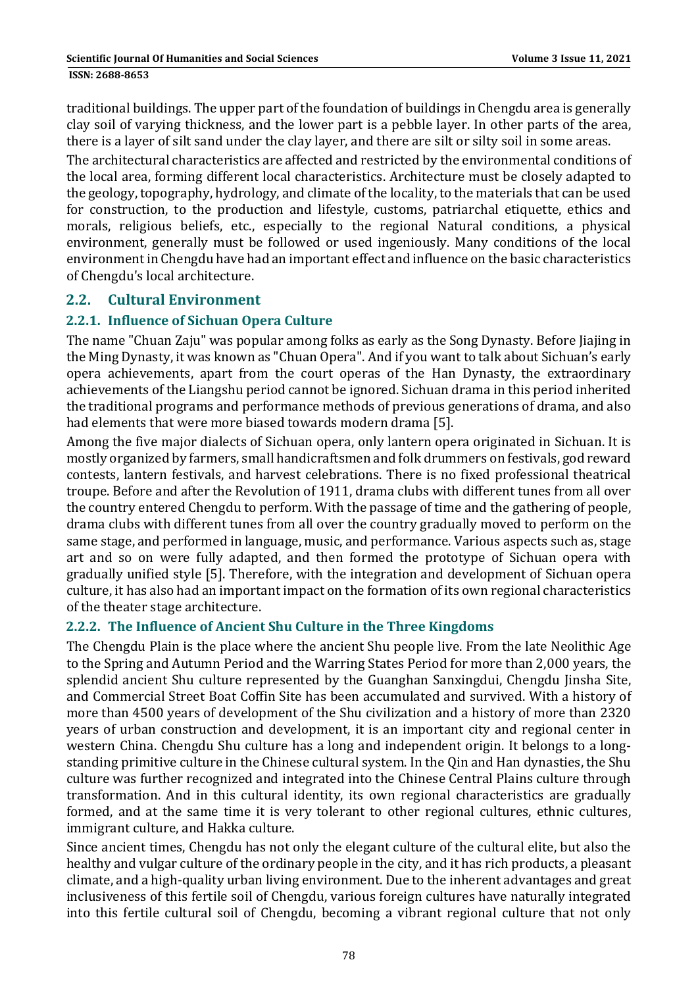traditional buildings. The upper part of the foundation of buildings in Chengdu area is generally clay soil of varying thickness, and the lower part is a pebble layer. In other parts of the area, there is a layer of silt sand under the clay layer, and there are silt or silty soil in some areas.

The architectural characteristics are affected and restricted by the environmental conditions of the local area, forming different local characteristics. Architecture must be closely adapted to the geology, topography, hydrology, and climate of the locality, to the materials that can be used for construction, to the production and lifestyle, customs, patriarchal etiquette, ethics and morals, religious beliefs, etc., especially to the regional Natural conditions, a physical environment, generally must be followed or used ingeniously. Many conditions of the local environment in Chengdu have had an important effect and influence on the basic characteristics of Chengdu's local architecture.

## **2.2. Cultural Environment**

### **2.2.1. Influence of Sichuan Opera Culture**

The name "Chuan Zaju" was popular among folks as early as the Song Dynasty. Before Jiajing in the Ming Dynasty, it was known as "Chuan Opera". And if you want to talk about Sichuan's early opera achievements, apart from the court operas of the Han Dynasty, the extraordinary achievements of the Liangshu period cannot be ignored. Sichuan drama in this period inherited the traditional programs and performance methods of previous generations of drama, and also had elements that were more biased towards modern drama [5].

Among the five major dialects of Sichuan opera, only lantern opera originated in Sichuan. It is mostly organized by farmers, small handicraftsmen and folk drummers on festivals, god reward contests, lantern festivals, and harvest celebrations. There is no fixed professional theatrical troupe. Before and after the Revolution of 1911, drama clubs with different tunes from all over the country entered Chengdu to perform. With the passage of time and the gathering of people, drama clubs with different tunes from all over the country gradually moved to perform on the same stage, and performed in language, music, and performance. Various aspects such as, stage art and so on were fully adapted, and then formed the prototype of Sichuan opera with gradually unified style [5]. Therefore, with the integration and development of Sichuan opera culture, it has also had an important impact on the formation of its own regional characteristics of the theater stage architecture.

### **2.2.2. The Influence of Ancient Shu Culture in the Three Kingdoms**

The Chengdu Plain is the place where the ancient Shu people live. From the late Neolithic Age to the Spring and Autumn Period and the Warring States Period for more than 2,000 years, the splendid ancient Shu culture represented by the Guanghan Sanxingdui, Chengdu Jinsha Site, and Commercial Street Boat Coffin Site has been accumulated and survived. With a history of more than 4500 years of development of the Shu civilization and a history of more than 2320 years of urban construction and development, it is an important city and regional center in western China. Chengdu Shu culture has a long and independent origin. It belongs to a longstanding primitive culture in the Chinese cultural system. In the Qin and Han dynasties, the Shu culture was further recognized and integrated into the Chinese Central Plains culture through transformation. And in this cultural identity, its own regional characteristics are gradually formed, and at the same time it is very tolerant to other regional cultures, ethnic cultures, immigrant culture, and Hakka culture.

Since ancient times, Chengdu has not only the elegant culture of the cultural elite, but also the healthy and vulgar culture of the ordinary people in the city, and it has rich products, a pleasant climate, and a high-quality urban living environment. Due to the inherent advantages and great inclusiveness of this fertile soil of Chengdu, various foreign cultures have naturally integrated into this fertile cultural soil of Chengdu, becoming a vibrant regional culture that not only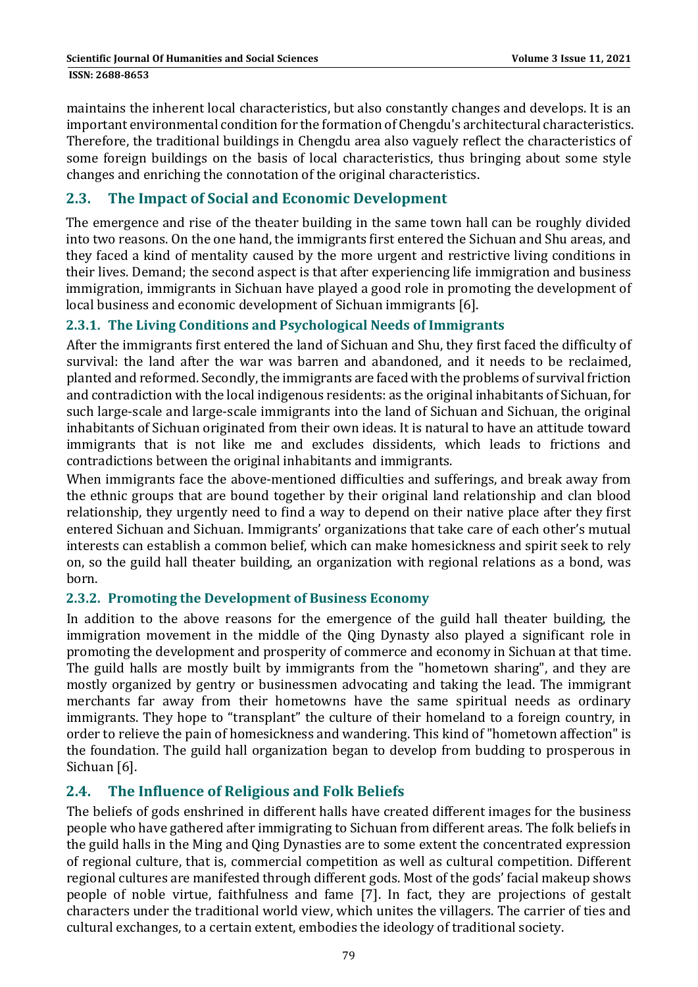maintains the inherent local characteristics, but also constantly changes and develops. It is an important environmental condition for the formation of Chengdu's architectural characteristics. Therefore, the traditional buildings in Chengdu area also vaguely reflect the characteristics of some foreign buildings on the basis of local characteristics, thus bringing about some style changes and enriching the connotation of the original characteristics.

## **2.3. The Impact of Social and Economic Development**

The emergence and rise of the theater building in the same town hall can be roughly divided into two reasons. On the one hand, the immigrants first entered the Sichuan and Shu areas, and they faced a kind of mentality caused by the more urgent and restrictive living conditions in their lives. Demand; the second aspect is that after experiencing life immigration and business immigration, immigrants in Sichuan have played a good role in promoting the development of local business and economic development of Sichuan immigrants [6].

### **2.3.1. The Living Conditions and Psychological Needs of Immigrants**

After the immigrants first entered the land of Sichuan and Shu, they first faced the difficulty of survival: the land after the war was barren and abandoned, and it needs to be reclaimed, planted and reformed. Secondly, the immigrants are faced with the problems of survival friction and contradiction with the local indigenous residents: as the original inhabitants of Sichuan, for such large-scale and large-scale immigrants into the land of Sichuan and Sichuan, the original inhabitants of Sichuan originated from their own ideas. It is natural to have an attitude toward immigrants that is not like me and excludes dissidents, which leads to frictions and contradictions between the original inhabitants and immigrants.

When immigrants face the above-mentioned difficulties and sufferings, and break away from the ethnic groups that are bound together by their original land relationship and clan blood relationship, they urgently need to find a way to depend on their native place after they first entered Sichuan and Sichuan. Immigrants' organizations that take care of each other's mutual interests can establish a common belief, which can make homesickness and spirit seek to rely on, so the guild hall theater building, an organization with regional relations as a bond, was born. 

### **2.3.2. Promoting the Development of Business Economy**

In addition to the above reasons for the emergence of the guild hall theater building, the immigration movement in the middle of the Oing Dynasty also played a significant role in promoting the development and prosperity of commerce and economy in Sichuan at that time. The guild halls are mostly built by immigrants from the "hometown sharing", and they are mostly organized by gentry or businessmen advocating and taking the lead. The immigrant merchants far away from their hometowns have the same spiritual needs as ordinary immigrants. They hope to "transplant" the culture of their homeland to a foreign country, in order to relieve the pain of homesickness and wandering. This kind of "hometown affection" is the foundation. The guild hall organization began to develop from budding to prosperous in Sichuan [6].

### **2.4. The Influence of Religious and Folk Beliefs**

The beliefs of gods enshrined in different halls have created different images for the business people who have gathered after immigrating to Sichuan from different areas. The folk beliefs in the guild halls in the Ming and Qing Dynasties are to some extent the concentrated expression of regional culture, that is, commercial competition as well as cultural competition. Different regional cultures are manifested through different gods. Most of the gods' facial makeup shows people of noble virtue, faithfulness and fame [7]. In fact, they are projections of gestalt characters under the traditional world view, which unites the villagers. The carrier of ties and cultural exchanges, to a certain extent, embodies the ideology of traditional society.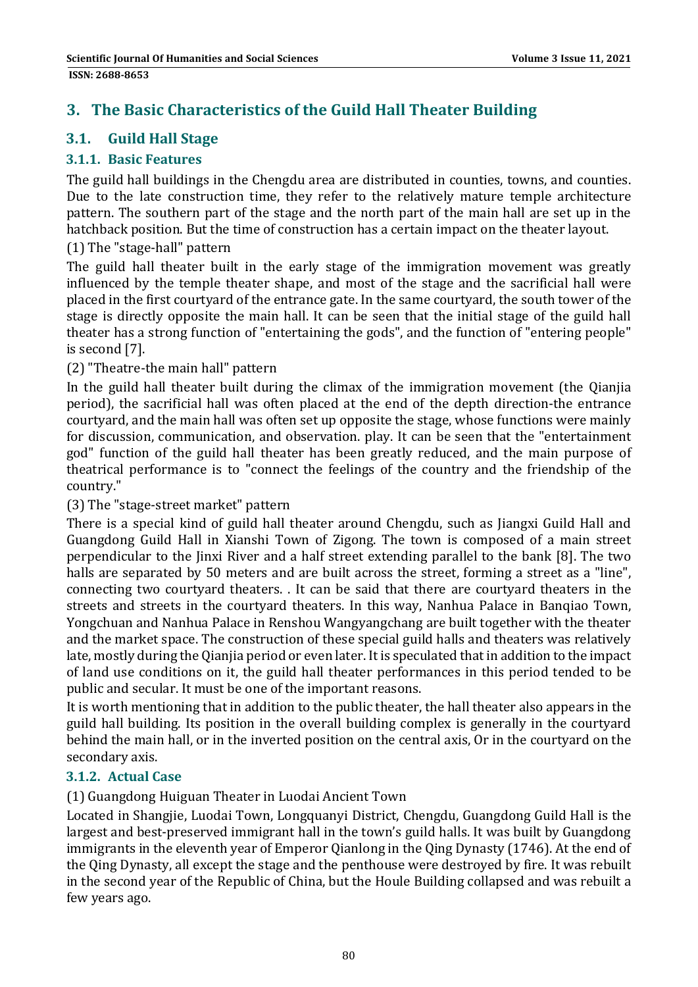# **3. The Basic Characteristics of the Guild Hall Theater Building**

# **3.1. Guild Hall Stage**

### **3.1.1. Basic Features**

The guild hall buildings in the Chengdu area are distributed in counties, towns, and counties. Due to the late construction time, they refer to the relatively mature temple architecture pattern. The southern part of the stage and the north part of the main hall are set up in the hatchback position. But the time of construction has a certain impact on the theater layout.

(1) The "stage-hall" pattern

The guild hall theater built in the early stage of the immigration movement was greatly influenced by the temple theater shape, and most of the stage and the sacrificial hall were placed in the first courtyard of the entrance gate. In the same courtyard, the south tower of the stage is directly opposite the main hall. It can be seen that the initial stage of the guild hall theater has a strong function of "entertaining the gods", and the function of "entering people" is second  $[7]$ .

(2) "Theatre-the main hall" pattern

In the guild hall theater built during the climax of the immigration movement (the Qianjia period), the sacrificial hall was often placed at the end of the depth direction-the entrance courtyard, and the main hall was often set up opposite the stage, whose functions were mainly for discussion, communication, and observation. play. It can be seen that the "entertainment god" function of the guild hall theater has been greatly reduced, and the main purpose of theatrical performance is to "connect the feelings of the country and the friendship of the country." 

(3) The "stage-street market" pattern

There is a special kind of guild hall theater around Chengdu, such as Jiangxi Guild Hall and Guangdong Guild Hall in Xianshi Town of Zigong. The town is composed of a main street perpendicular to the Jinxi River and a half street extending parallel to the bank [8]. The two halls are separated by 50 meters and are built across the street, forming a street as a "line", connecting two courtyard theaters. . It can be said that there are courtyard theaters in the streets and streets in the courtyard theaters. In this way, Nanhua Palace in Banqiao Town, Yongchuan and Nanhua Palace in Renshou Wangyangchang are built together with the theater and the market space. The construction of these special guild halls and theaters was relatively late, mostly during the Qianjia period or even later. It is speculated that in addition to the impact of land use conditions on it, the guild hall theater performances in this period tended to be public and secular. It must be one of the important reasons.

It is worth mentioning that in addition to the public theater, the hall theater also appears in the guild hall building. Its position in the overall building complex is generally in the courtyard behind the main hall, or in the inverted position on the central axis, Or in the courtyard on the secondary axis.

### **3.1.2. Actual Case**

(1) Guangdong Huiguan Theater in Luodai Ancient Town 

Located in Shangjie, Luodai Town, Longquanyi District, Chengdu, Guangdong Guild Hall is the largest and best-preserved immigrant hall in the town's guild halls. It was built by Guangdong immigrants in the eleventh year of Emperor Qianlong in the Qing Dynasty (1746). At the end of the Qing Dynasty, all except the stage and the penthouse were destroyed by fire. It was rebuilt in the second year of the Republic of China, but the Houle Building collapsed and was rebuilt a few years ago.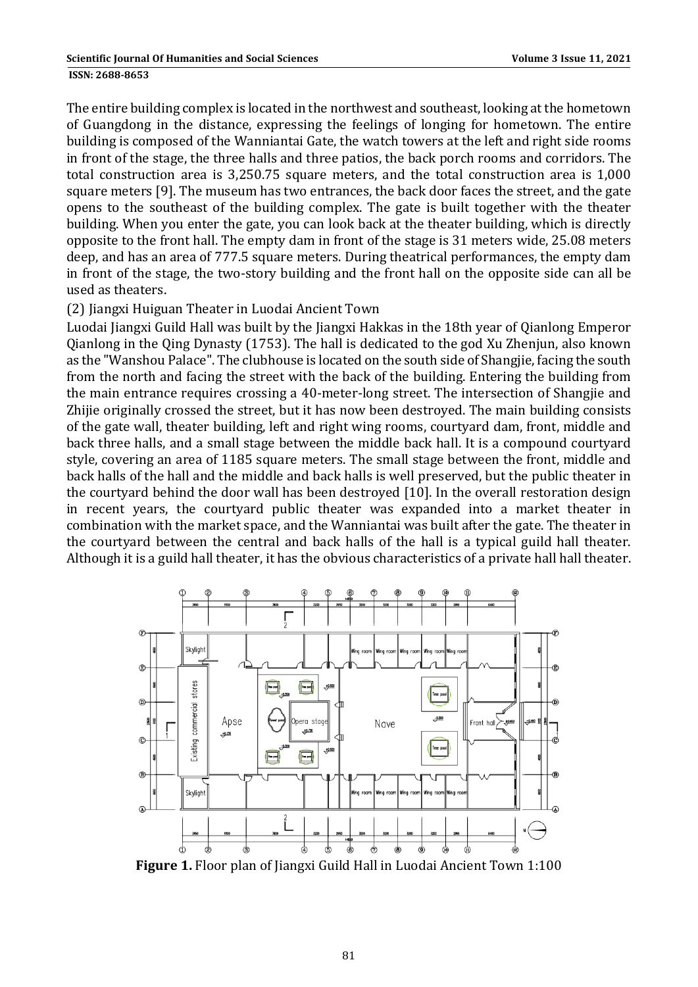#### **ISSN: 2688-8653**

The entire building complex is located in the northwest and southeast, looking at the hometown of Guangdong in the distance, expressing the feelings of longing for hometown. The entire building is composed of the Wanniantai Gate, the watch towers at the left and right side rooms in front of the stage, the three halls and three patios, the back porch rooms and corridors. The total construction area is 3,250.75 square meters, and the total construction area is 1,000 square meters [9]. The museum has two entrances, the back door faces the street, and the gate opens to the southeast of the building complex. The gate is built together with the theater building. When you enter the gate, you can look back at the theater building, which is directly opposite to the front hall. The empty dam in front of the stage is 31 meters wide, 25.08 meters deep, and has an area of 777.5 square meters. During theatrical performances, the empty dam in front of the stage, the two-story building and the front hall on the opposite side can all be used as theaters.

#### (2) Jiangxi Huiguan Theater in Luodai Ancient Town

Luodai Jiangxi Guild Hall was built by the Jiangxi Hakkas in the 18th year of Oianlong Emperor Qianlong in the Qing Dynasty (1753). The hall is dedicated to the god Xu Zhenjun, also known as the "Wanshou Palace". The clubhouse is located on the south side of Shangjie, facing the south from the north and facing the street with the back of the building. Entering the building from the main entrance requires crossing a 40-meter-long street. The intersection of Shangjie and Zhijie originally crossed the street, but it has now been destroyed. The main building consists of the gate wall, theater building, left and right wing rooms, courtyard dam, front, middle and back three halls, and a small stage between the middle back hall. It is a compound courtvard style, covering an area of 1185 square meters. The small stage between the front, middle and back halls of the hall and the middle and back halls is well preserved, but the public theater in the courtyard behind the door wall has been destroyed [10]. In the overall restoration design in recent years, the courtyard public theater was expanded into a market theater in combination with the market space, and the Wanniantai was built after the gate. The theater in the courtyard between the central and back halls of the hall is a typical guild hall theater. Although it is a guild hall theater, it has the obvious characteristics of a private hall hall theater.



**Figure 1.** Floor plan of Jiangxi Guild Hall in Luodai Ancient Town 1:100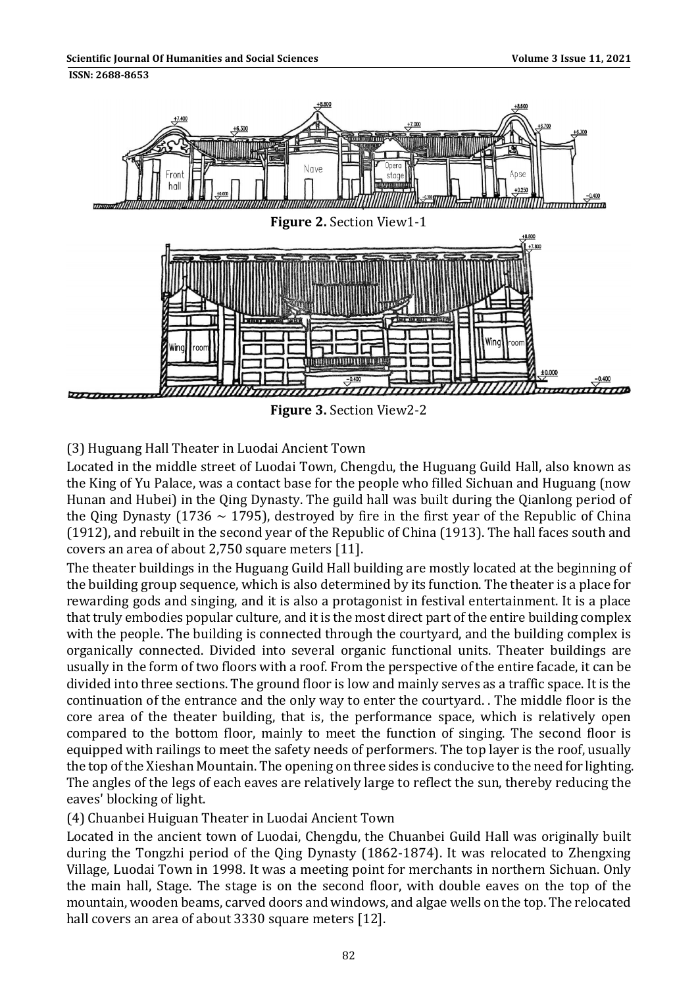Scientific Journal Of Humanities and Social Sciences and Social Sciences and Social Sciences and Social Sciences and Social Sciences and Social Sciences and Social Sciences and Social Sciences and Social Sciences and Socia

**ISSN: 2688-8653** 



**Figure 3.** Section View2-2

### (3) Huguang Hall Theater in Luodai Ancient Town

Located in the middle street of Luodai Town, Chengdu, the Huguang Guild Hall, also known as the King of Yu Palace, was a contact base for the people who filled Sichuan and Huguang (now Hunan and Hubei) in the Qing Dynasty. The guild hall was built during the Qianlong period of the Qing Dynasty (1736  $\sim$  1795), destroyed by fire in the first year of the Republic of China  $(1912)$ , and rebuilt in the second year of the Republic of China  $(1913)$ . The hall faces south and covers an area of about 2,750 square meters [11].

The theater buildings in the Huguang Guild Hall building are mostly located at the beginning of the building group sequence, which is also determined by its function. The theater is a place for rewarding gods and singing, and it is also a protagonist in festival entertainment. It is a place that truly embodies popular culture, and it is the most direct part of the entire building complex with the people. The building is connected through the courtyard, and the building complex is organically connected. Divided into several organic functional units. Theater buildings are usually in the form of two floors with a roof. From the perspective of the entire facade, it can be divided into three sections. The ground floor is low and mainly serves as a traffic space. It is the continuation of the entrance and the only way to enter the courtyard. The middle floor is the core area of the theater building, that is, the performance space, which is relatively open compared to the bottom floor, mainly to meet the function of singing. The second floor is equipped with railings to meet the safety needs of performers. The top layer is the roof, usually the top of the Xieshan Mountain. The opening on three sides is conducive to the need for lighting. The angles of the legs of each eaves are relatively large to reflect the sun, thereby reducing the eaves' blocking of light.

### (4) Chuanbei Huiguan Theater in Luodai Ancient Town

Located in the ancient town of Luodai, Chengdu, the Chuanbei Guild Hall was originally built during the Tongzhi period of the Qing Dynasty (1862-1874). It was relocated to Zhengxing Village, Luodai Town in 1998. It was a meeting point for merchants in northern Sichuan. Only the main hall, Stage. The stage is on the second floor, with double eaves on the top of the mountain, wooden beams, carved doors and windows, and algae wells on the top. The relocated hall covers an area of about 3330 square meters [12].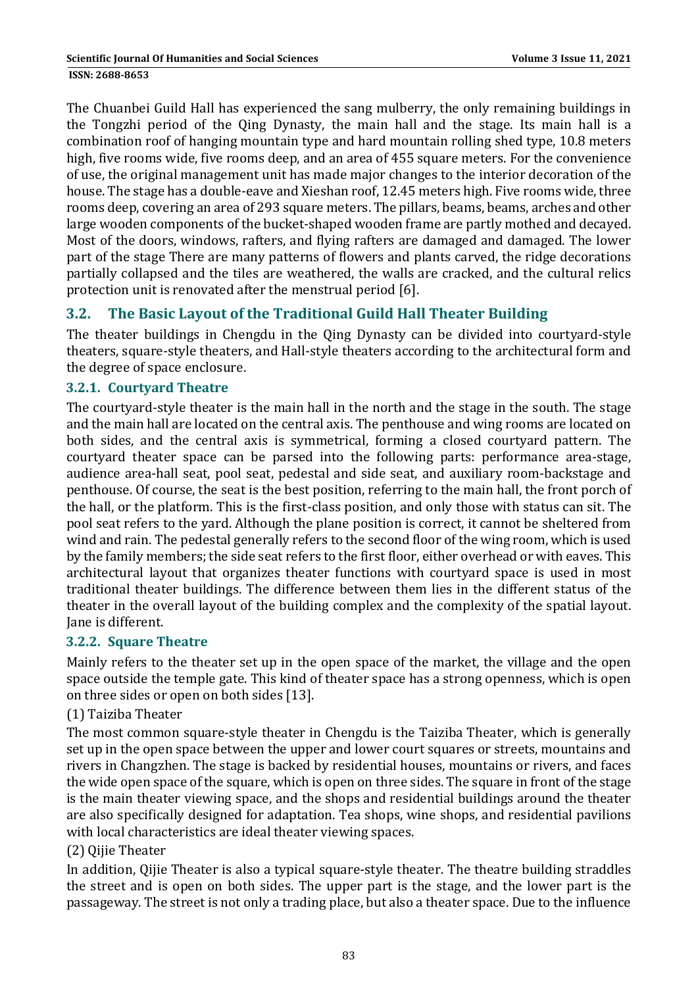The Chuanbei Guild Hall has experienced the sang mulberry, the only remaining buildings in the Tongzhi period of the Oing Dynasty, the main hall and the stage. Its main hall is a combination roof of hanging mountain type and hard mountain rolling shed type, 10.8 meters high, five rooms wide, five rooms deep, and an area of 455 square meters. For the convenience of use, the original management unit has made major changes to the interior decoration of the house. The stage has a double-eave and Xieshan roof, 12.45 meters high. Five rooms wide, three rooms deep, covering an area of 293 square meters. The pillars, beams, beams, arches and other large wooden components of the bucket-shaped wooden frame are partly mothed and decayed. Most of the doors, windows, rafters, and flying rafters are damaged and damaged. The lower part of the stage There are many patterns of flowers and plants carved, the ridge decorations partially collapsed and the tiles are weathered, the walls are cracked, and the cultural relics protection unit is renovated after the menstrual period [6].

# **3.2. The Basic Layout of the Traditional Guild Hall Theater Building**

The theater buildings in Chengdu in the Qing Dynasty can be divided into courtyard-style theaters, square-style theaters, and Hall-style theaters according to the architectural form and the degree of space enclosure.

### **3.2.1. Courtyard Theatre**

The courtyard-style theater is the main hall in the north and the stage in the south. The stage and the main hall are located on the central axis. The penthouse and wing rooms are located on both sides, and the central axis is symmetrical, forming a closed courtyard pattern. The courtyard theater space can be parsed into the following parts: performance area-stage, audience area-hall seat, pool seat, pedestal and side seat, and auxiliary room-backstage and penthouse. Of course, the seat is the best position, referring to the main hall, the front porch of the hall, or the platform. This is the first-class position, and only those with status can sit. The pool seat refers to the yard. Although the plane position is correct, it cannot be sheltered from wind and rain. The pedestal generally refers to the second floor of the wing room, which is used by the family members; the side seat refers to the first floor, either overhead or with eaves. This architectural layout that organizes theater functions with courtyard space is used in most traditional theater buildings. The difference between them lies in the different status of the theater in the overall layout of the building complex and the complexity of the spatial layout. Jane is different.

### **3.2.2. Square Theatre**

Mainly refers to the theater set up in the open space of the market, the village and the open space outside the temple gate. This kind of theater space has a strong openness, which is open on three sides or open on both sides [13].

### (1) Taiziba Theater

The most common square-style theater in Chengdu is the Taiziba Theater, which is generally set up in the open space between the upper and lower court squares or streets, mountains and rivers in Changzhen. The stage is backed by residential houses, mountains or rivers, and faces the wide open space of the square, which is open on three sides. The square in front of the stage is the main theater viewing space, and the shops and residential buildings around the theater are also specifically designed for adaptation. Tea shops, wine shops, and residential pavilions with local characteristics are ideal theater viewing spaces.

### (2) Oijie Theater

In addition, Qijie Theater is also a typical square-style theater. The theatre building straddles the street and is open on both sides. The upper part is the stage, and the lower part is the passageway. The street is not only a trading place, but also a theater space. Due to the influence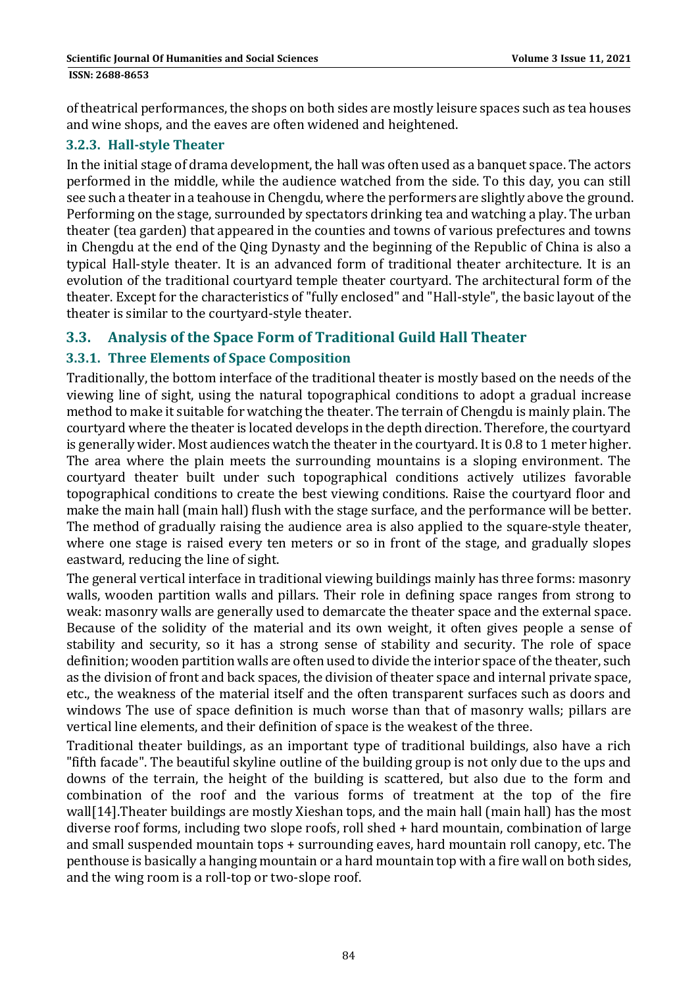#### **ISSN: 2688-8653**

of theatrical performances, the shops on both sides are mostly leisure spaces such as tea houses and wine shops, and the eaves are often widened and heightened.

### **3.2.3. Hall‐style Theater**

In the initial stage of drama development, the hall was often used as a banquet space. The actors performed in the middle, while the audience watched from the side. To this day, you can still see such a theater in a teahouse in Chengdu, where the performers are slightly above the ground. Performing on the stage, surrounded by spectators drinking tea and watching a play. The urban theater (tea garden) that appeared in the counties and towns of various prefectures and towns in Chengdu at the end of the Qing Dynasty and the beginning of the Republic of China is also a typical Hall-style theater. It is an advanced form of traditional theater architecture. It is an evolution of the traditional courtyard temple theater courtyard. The architectural form of the theater. Except for the characteristics of "fully enclosed" and "Hall-style", the basic layout of the theater is similar to the courtyard-style theater.

## **3.3. Analysis of the Space Form of Traditional Guild Hall Theater**

### **3.3.1. Three Elements of Space Composition**

Traditionally, the bottom interface of the traditional theater is mostly based on the needs of the viewing line of sight, using the natural topographical conditions to adopt a gradual increase method to make it suitable for watching the theater. The terrain of Chengdu is mainly plain. The courtyard where the theater is located develops in the depth direction. Therefore, the courtyard is generally wider. Most audiences watch the theater in the courtyard. It is  $0.8$  to 1 meter higher. The area where the plain meets the surrounding mountains is a sloping environment. The courtyard theater built under such topographical conditions actively utilizes favorable topographical conditions to create the best viewing conditions. Raise the courtyard floor and make the main hall (main hall) flush with the stage surface, and the performance will be better. The method of gradually raising the audience area is also applied to the square-style theater, where one stage is raised every ten meters or so in front of the stage, and gradually slopes eastward, reducing the line of sight.

The general vertical interface in traditional viewing buildings mainly has three forms: masonry walls, wooden partition walls and pillars. Their role in defining space ranges from strong to weak: masonry walls are generally used to demarcate the theater space and the external space. Because of the solidity of the material and its own weight, it often gives people a sense of stability and security, so it has a strong sense of stability and security. The role of space definition; wooden partition walls are often used to divide the interior space of the theater, such as the division of front and back spaces, the division of theater space and internal private space, etc., the weakness of the material itself and the often transparent surfaces such as doors and windows The use of space definition is much worse than that of masonry walls; pillars are vertical line elements, and their definition of space is the weakest of the three.

Traditional theater buildings, as an important type of traditional buildings, also have a rich "fifth facade". The beautiful skyline outline of the building group is not only due to the ups and downs of the terrain, the height of the building is scattered, but also due to the form and combination of the roof and the various forms of treatment at the top of the fire wall[14]. Theater buildings are mostly Xieshan tops, and the main hall (main hall) has the most diverse roof forms, including two slope roofs, roll shed  $+$  hard mountain, combination of large and small suspended mountain tops + surrounding eaves, hard mountain roll canopy, etc. The penthouse is basically a hanging mountain or a hard mountain top with a fire wall on both sides, and the wing room is a roll-top or two-slope roof.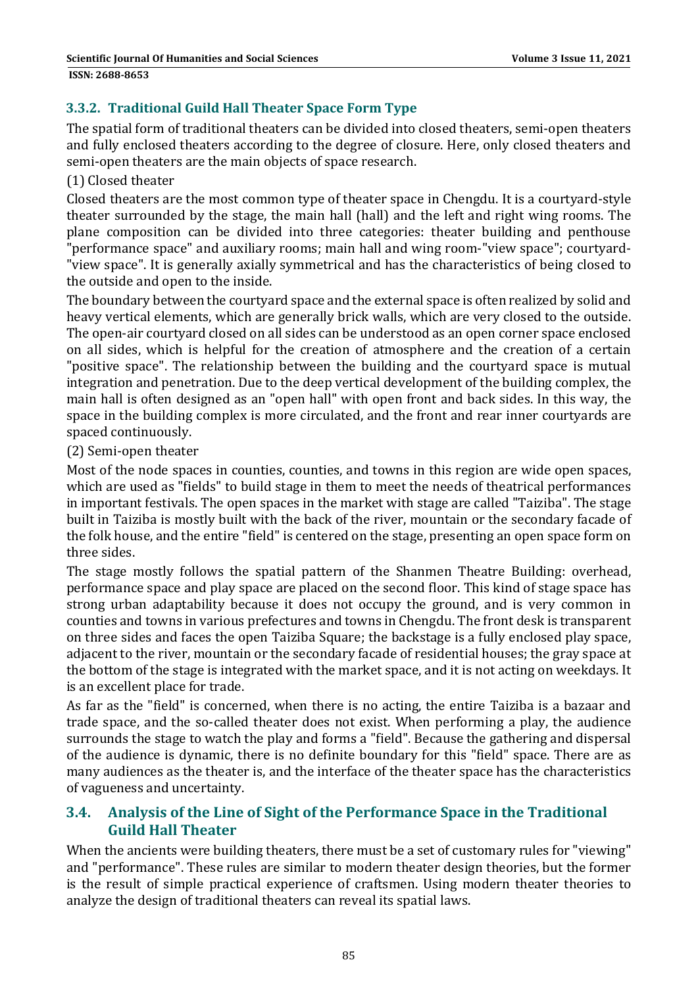### **3.3.2. Traditional Guild Hall Theater Space Form Type**

The spatial form of traditional theaters can be divided into closed theaters, semi-open theaters and fully enclosed theaters according to the degree of closure. Here, only closed theaters and semi-open theaters are the main objects of space research.

(1) Closed theater 

Closed theaters are the most common type of theater space in Chengdu. It is a courtyard-style theater surrounded by the stage, the main hall (hall) and the left and right wing rooms. The plane composition can be divided into three categories: theater building and penthouse "performance space" and auxiliary rooms; main hall and wing room-"view space"; courtyard-"view space". It is generally axially symmetrical and has the characteristics of being closed to the outside and open to the inside.

The boundary between the courtyard space and the external space is often realized by solid and heavy vertical elements, which are generally brick walls, which are very closed to the outside. The open-air courtyard closed on all sides can be understood as an open corner space enclosed on all sides, which is helpful for the creation of atmosphere and the creation of a certain "positive space". The relationship between the building and the courtyard space is mutual integration and penetration. Due to the deep vertical development of the building complex, the main hall is often designed as an "open hall" with open front and back sides. In this way, the space in the building complex is more circulated, and the front and rear inner courtyards are spaced continuously.

### (2) Semi‐open theater

Most of the node spaces in counties, counties, and towns in this region are wide open spaces, which are used as "fields" to build stage in them to meet the needs of theatrical performances in important festivals. The open spaces in the market with stage are called "Taiziba". The stage built in Taiziba is mostly built with the back of the river, mountain or the secondary facade of the folk house, and the entire "field" is centered on the stage, presenting an open space form on three sides.

The stage mostly follows the spatial pattern of the Shanmen Theatre Building: overhead, performance space and play space are placed on the second floor. This kind of stage space has strong urban adaptability because it does not occupy the ground, and is very common in counties and towns in various prefectures and towns in Chengdu. The front desk is transparent on three sides and faces the open Taiziba Square; the backstage is a fully enclosed play space, adjacent to the river, mountain or the secondary facade of residential houses; the gray space at the bottom of the stage is integrated with the market space, and it is not acting on weekdays. It is an excellent place for trade.

As far as the "field" is concerned, when there is no acting, the entire Taiziba is a bazaar and trade space, and the so-called theater does not exist. When performing a play, the audience surrounds the stage to watch the play and forms a "field". Because the gathering and dispersal of the audience is dynamic, there is no definite boundary for this "field" space. There are as many audiences as the theater is, and the interface of the theater space has the characteristics of vagueness and uncertainty.

## **3.4. Analysis of the Line of Sight of the Performance Space in the Traditional Guild Hall Theater**

When the ancients were building theaters, there must be a set of customary rules for "viewing" and "performance". These rules are similar to modern theater design theories, but the former is the result of simple practical experience of craftsmen. Using modern theater theories to analyze the design of traditional theaters can reveal its spatial laws.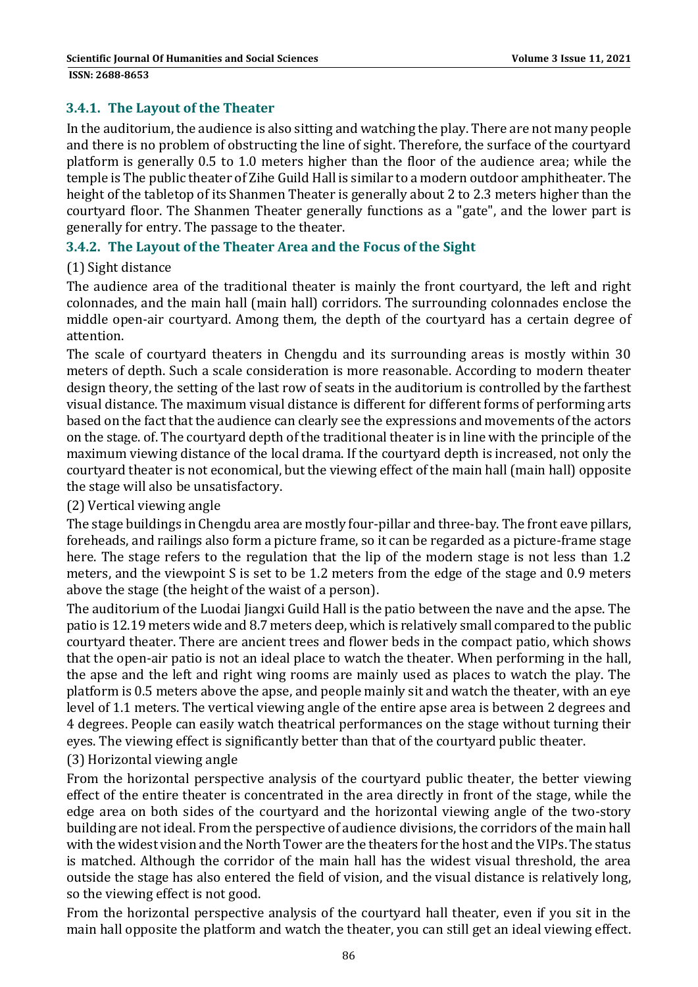### **3.4.1. The Layout of the Theater**

In the auditorium, the audience is also sitting and watching the play. There are not many people and there is no problem of obstructing the line of sight. Therefore, the surface of the courtyard platform is generally 0.5 to 1.0 meters higher than the floor of the audience area; while the temple is The public theater of Zihe Guild Hall is similar to a modern outdoor amphitheater. The height of the tabletop of its Shanmen Theater is generally about 2 to 2.3 meters higher than the courtyard floor. The Shanmen Theater generally functions as a "gate", and the lower part is generally for entry. The passage to the theater.

### **3.4.2. The Layout of the Theater Area and the Focus of the Sight**

### (1) Sight distance

The audience area of the traditional theater is mainly the front courtyard, the left and right colonnades, and the main hall (main hall) corridors. The surrounding colonnades enclose the middle open-air courtyard. Among them, the depth of the courtyard has a certain degree of attention. 

The scale of courtyard theaters in Chengdu and its surrounding areas is mostly within 30 meters of depth. Such a scale consideration is more reasonable. According to modern theater design theory, the setting of the last row of seats in the auditorium is controlled by the farthest visual distance. The maximum visual distance is different for different forms of performing arts based on the fact that the audience can clearly see the expressions and movements of the actors on the stage. of. The courtyard depth of the traditional theater is in line with the principle of the maximum viewing distance of the local drama. If the courtyard depth is increased, not only the courtyard theater is not economical, but the viewing effect of the main hall (main hall) opposite the stage will also be unsatisfactory.

### (2) Vertical viewing angle

The stage buildings in Chengdu area are mostly four-pillar and three-bay. The front eave pillars, foreheads, and railings also form a picture frame, so it can be regarded as a picture-frame stage here. The stage refers to the regulation that the lip of the modern stage is not less than 1.2 meters, and the viewpoint S is set to be 1.2 meters from the edge of the stage and 0.9 meters above the stage (the height of the waist of a person).

The auditorium of the Luodai Jiangxi Guild Hall is the patio between the nave and the apse. The patio is 12.19 meters wide and 8.7 meters deep, which is relatively small compared to the public courtyard theater. There are ancient trees and flower beds in the compact patio, which shows that the open-air patio is not an ideal place to watch the theater. When performing in the hall, the apse and the left and right wing rooms are mainly used as places to watch the play. The platform is 0.5 meters above the apse, and people mainly sit and watch the theater, with an eye level of 1.1 meters. The vertical viewing angle of the entire apse area is between 2 degrees and 4 degrees. People can easily watch theatrical performances on the stage without turning their eyes. The viewing effect is significantly better than that of the courtyard public theater.

### (3) Horizontal viewing angle

From the horizontal perspective analysis of the courtyard public theater, the better viewing effect of the entire theater is concentrated in the area directly in front of the stage, while the edge area on both sides of the courtyard and the horizontal viewing angle of the two-story building are not ideal. From the perspective of audience divisions, the corridors of the main hall with the widest vision and the North Tower are the theaters for the host and the VIPs. The status is matched. Although the corridor of the main hall has the widest visual threshold, the area outside the stage has also entered the field of vision, and the visual distance is relatively long, so the viewing effect is not good.

From the horizontal perspective analysis of the courtyard hall theater, even if you sit in the main hall opposite the platform and watch the theater, you can still get an ideal viewing effect.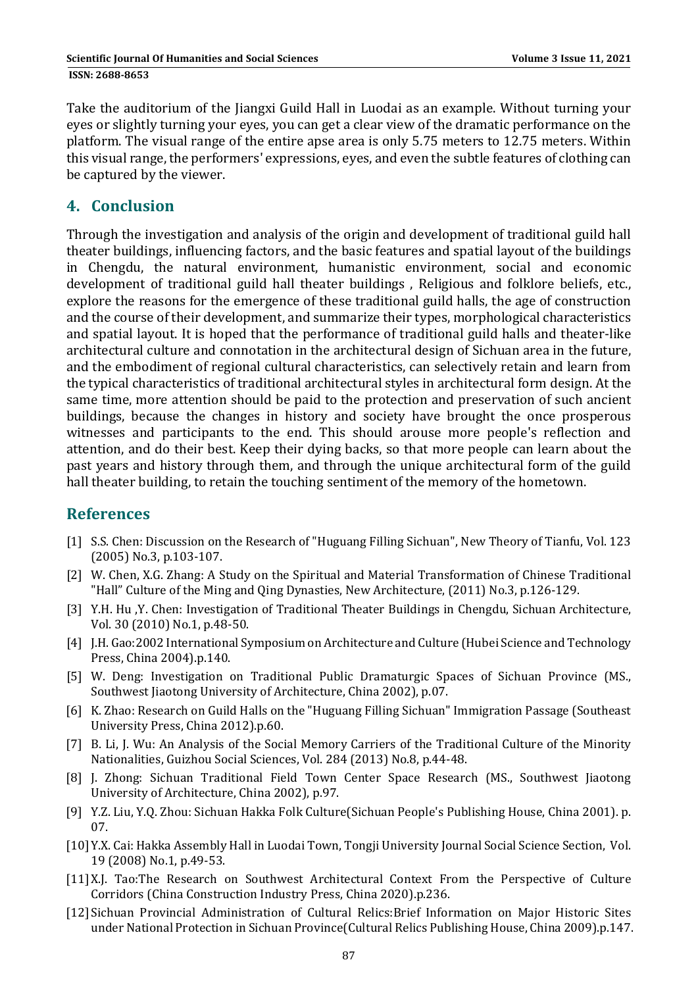Take the auditorium of the Jiangxi Guild Hall in Luodai as an example. Without turning your eyes or slightly turning your eyes, you can get a clear view of the dramatic performance on the platform. The visual range of the entire apse area is only 5.75 meters to 12.75 meters. Within this visual range, the performers' expressions, eyes, and even the subtle features of clothing can be captured by the viewer.

# **4. Conclusion**

Through the investigation and analysis of the origin and development of traditional guild hall theater buildings, influencing factors, and the basic features and spatial layout of the buildings in Chengdu, the natural environment, humanistic environment, social and economic development of traditional guild hall theater buildings, Religious and folklore beliefs, etc., explore the reasons for the emergence of these traditional guild halls, the age of construction and the course of their development, and summarize their types, morphological characteristics and spatial layout. It is hoped that the performance of traditional guild halls and theater-like architectural culture and connotation in the architectural design of Sichuan area in the future, and the embodiment of regional cultural characteristics, can selectively retain and learn from the typical characteristics of traditional architectural styles in architectural form design. At the same time, more attention should be paid to the protection and preservation of such ancient buildings, because the changes in history and society have brought the once prosperous witnesses and participants to the end. This should arouse more people's reflection and attention, and do their best. Keep their dying backs, so that more people can learn about the past years and history through them, and through the unique architectural form of the guild hall theater building, to retain the touching sentiment of the memory of the hometown.

# **References**

- [1] S.S. Chen: Discussion on the Research of "Huguang Filling Sichuan", New Theory of Tianfu, Vol. 123 (2005) No.3, p.103-107.
- [2] W. Chen, X.G. Zhang: A Study on the Spiritual and Material Transformation of Chinese Traditional "Hall" Culture of the Ming and Qing Dynasties, New Architecture, (2011) No.3, p.126-129.
- [3] Y.H. Hu , Y. Chen: Investigation of Traditional Theater Buildings in Chengdu, Sichuan Architecture, Vol. 30 (2010) No.1, p.48-50.
- [4] J.H. Gao:2002 International Symposium on Architecture and Culture (Hubei Science and Technology Press, China 2004).p.140.
- [5] W. Deng: Investigation on Traditional Public Dramaturgic Spaces of Sichuan Province (MS., Southwest Jiaotong University of Architecture, China 2002), p.07.
- [6] K. Zhao: Research on Guild Halls on the "Huguang Filling Sichuan" Immigration Passage (Southeast) University Press, China 2012).p.60.
- [7] B. Li, J. Wu: An Analysis of the Social Memory Carriers of the Traditional Culture of the Minority Nationalities, Guizhou Social Sciences, Vol. 284 (2013) No.8, p.44-48.
- [8] J. Zhong: Sichuan Traditional Field Town Center Space Research (MS., Southwest Jiaotong University of Architecture, China 2002), p.97.
- [9] Y.Z. Liu, Y.Q. Zhou: Sichuan Hakka Folk Culture(Sichuan People's Publishing House, China 2001). p. 07.
- [10] Y.X. Cai: Hakka Assembly Hall in Luodai Town, Tongji University Journal Social Science Section, Vol. 19 (2008) No.1, p.49-53.
- [11]X.J. Tao:The Research on Southwest Architectural Context From the Perspective of Culture Corridors (China Construction Industry Press, China 2020).p.236.
- [12] Sichuan Provincial Administration of Cultural Relics: Brief Information on Major Historic Sites under National Protection in Sichuan Province(Cultural Relics Publishing House, China 2009).p.147.